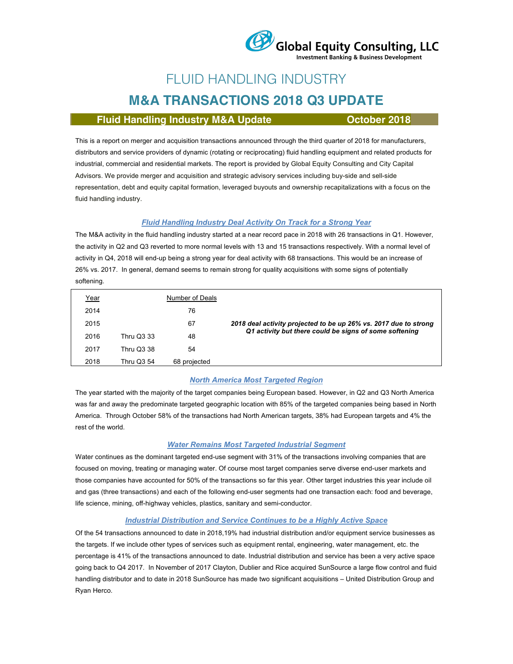

# FLUID HANDLING INDUSTRY

# **M&A TRANSACTIONS 2018 Q3 UPDATE**

### **Fluid Handling Industry M&A Update <b>CE** October 2018

This is a report on merger and acquisition transactions announced through the third quarter of 2018 for manufacturers, distributors and service providers of dynamic (rotating or reciprocating) fluid handling equipment and related products for industrial, commercial and residential markets. The report is provided by Global Equity Consulting and City Capital Advisors. We provide merger and acquisition and strategic advisory services including buy-side and sell-side representation, debt and equity capital formation, leveraged buyouts and ownership recapitalizations with a focus on the fluid handling industry.

#### *Fluid Handling Industry Deal Activity On Track for a Strong Year*

The M&A activity in the fluid handling industry started at a near record pace in 2018 with 26 transactions in Q1. However, the activity in Q2 and Q3 reverted to more normal levels with 13 and 15 transactions respectively. With a normal level of activity in Q4, 2018 will end-up being a strong year for deal activity with 68 transactions. This would be an increase of 26% vs. 2017. In general, demand seems to remain strong for quality acquisitions with some signs of potentially softening.

| <u>Year</u> |                   | Number of Deals |                                                                  |  |
|-------------|-------------------|-----------------|------------------------------------------------------------------|--|
| 2014        |                   | 76              |                                                                  |  |
| 2015        |                   | 67              | 2018 deal activity projected to be up 26% vs. 2017 due to strong |  |
| 2016        | <b>Thru Q3 33</b> | 48              | Q1 activity but there could be signs of some softening           |  |
| 2017        | <b>Thru Q3 38</b> | 54              |                                                                  |  |
| 2018        | Thru Q3 54        | 68 projected    |                                                                  |  |

#### *North America Most Targeted Region*

The year started with the majority of the target companies being European based. However, in Q2 and Q3 North America was far and away the predominate targeted geographic location with 85% of the targeted companies being based in North America. Through October 58% of the transactions had North American targets, 38% had European targets and 4% the rest of the world.

#### *Water Remains Most Targeted Industrial Segment*

Water continues as the dominant targeted end-use segment with 31% of the transactions involving companies that are focused on moving, treating or managing water. Of course most target companies serve diverse end-user markets and those companies have accounted for 50% of the transactions so far this year. Other target industries this year include oil and gas (three transactions) and each of the following end-user segments had one transaction each: food and beverage, life science, mining, off-highway vehicles, plastics, sanitary and semi-conductor.

#### *Industrial Distribution and Service Continues to be a Highly Active Space*

Of the 54 transactions announced to date in 2018,19% had industrial distribution and/or equipment service businesses as the targets. If we include other types of services such as equipment rental, engineering, water management, etc. the percentage is 41% of the transactions announced to date. Industrial distribution and service has been a very active space going back to Q4 2017. In November of 2017 Clayton, Dublier and Rice acquired SunSource a large flow control and fluid handling distributor and to date in 2018 SunSource has made two significant acquisitions – United Distribution Group and Ryan Herco.